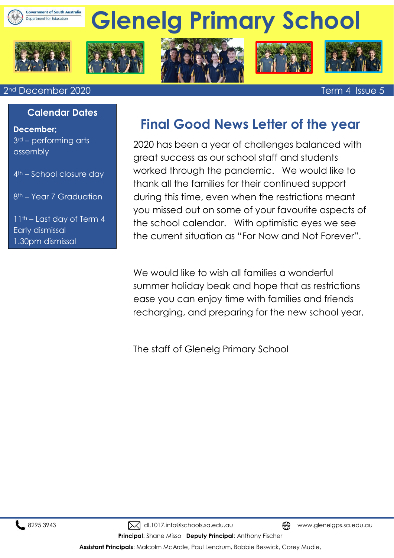

# **Glenelg Primary School**











#### 2nd December 2020 Term 4 Issue 5

 $\overline{a}$ 

#### **Calendar Dates**

**December;**  3rd – performing arts assembly

4th – School closure day

8th – Year 7 Graduation

11th – Last day of Term 4 Early dismissal 1.30pm dismissal

# **Final Good News Letter of the year**

2020 has been a year of challenges balanced with great success as our school staff and students worked through the pandemic. We would like to thank all the families for their continued support during this time, even when the restrictions meant you missed out on some of your favourite aspects of the school calendar. With optimistic eyes we see the current situation as "For Now and Not Forever".

We would like to wish all families a wonderful summer holiday beak and hope that as restrictions ease you can enjoy time with families and friends recharging, and preparing for the new school year.

The staff of Glenelg Primary School

8295 3943 Mdl.1017.info@schools.sa.edu.au www.glenelgps.sa.edu.au www.glenelgps.sa.edu.au

**Principal**: Shane Misso **Deputy Principal**: Anthony Fischer

**Assistant Principals**: Malcolm McArdle, Paul Lendrum, Bobbie Beswick, Corey Mudie,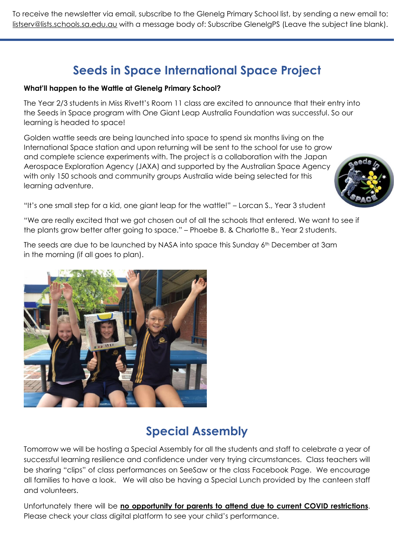To receive the newsletter via email, subscribe to the Glenelg Primary School list, by sending a new email to: [listserv@lists.schools.sa.edu.au](mailto:listserv@lists.schools.sa.edu.au) with a message body of: Subscribe GlenelgPS (Leave the subject line blank).

# **Seeds in Space International Space Project**

#### **What'll happen to the Wattle at Glenelg Primary School?**

The Year 2/3 students in Miss Rivett's Room 11 class are excited to announce that their entry into the Seeds in Space program with One Giant Leap Australia Foundation was successful. So our learning is headed to space!

Golden wattle seeds are being launched into space to spend six months living on the International Space station and upon returning will be sent to the school for use to grow and complete science experiments with. The project is a collaboration with the Japan Aerospace Exploration Agency (JAXA) and supported by the Australian Space Agency with only 150 schools and community groups Australia wide being selected for this learning adventure.



"It's one small step for a kid, one giant leap for the wattle!" – Lorcan S., Year 3 student

"We are really excited that we got chosen out of all the schools that entered. We want to see if the plants grow better after going to space." – Phoebe B. & Charlotte B., Year 2 students.

The seeds are due to be launched by NASA into space this Sunday 6<sup>th</sup> December at 3am in the morning (if all goes to plan).



# **Special Assembly**

Tomorrow we will be hosting a Special Assembly for all the students and staff to celebrate a year of successful learning resilience and confidence under very trying circumstances. Class teachers will be sharing "clips" of class performances on SeeSaw or the class Facebook Page. We encourage all families to have a look. We will also be having a Special Lunch provided by the canteen staff and volunteers.

Unfortunately there will be **no opportunity for parents to attend due to current COVID restrictions**. Please check your class digital platform to see your child's performance.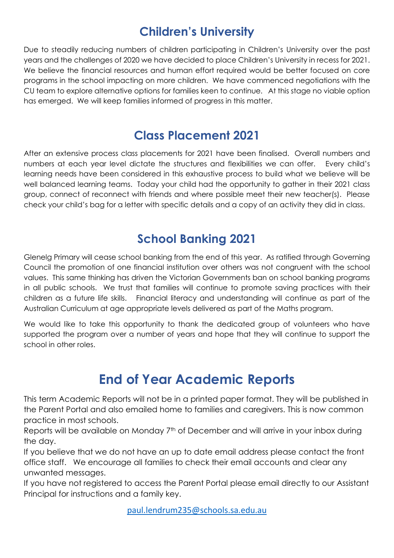# **Children's University**

Due to steadily reducing numbers of children participating in Children's University over the past years and the challenges of 2020 we have decided to place Children's University in recess for 2021. We believe the financial resources and human effort required would be better focused on core programs in the school impacting on more children. We have commenced negotiations with the CU team to explore alternative options for families keen to continue. At this stage no viable option has emerged. We will keep families informed of progress in this matter.

# **Class Placement 2021**

After an extensive process class placements for 2021 have been finalised. Overall numbers and numbers at each year level dictate the structures and flexibilities we can offer. Every child's learning needs have been considered in this exhaustive process to build what we believe will be well balanced learning teams. Today your child had the opportunity to gather in their 2021 class group, connect of reconnect with friends and where possible meet their new teacher(s). Please check your child's bag for a letter with specific details and a copy of an activity they did in class.

# **School Banking 2021**

Glenelg Primary will cease school banking from the end of this year. As ratified through Governing Council the promotion of one financial institution over others was not congruent with the school values. This same thinking has driven the Victorian Governments ban on school banking programs in all public schools. We trust that families will continue to promote saving practices with their children as a future life skills. Financial literacy and understanding will continue as part of the Australian Curriculum at age appropriate levels delivered as part of the Maths program.

We would like to take this opportunity to thank the dedicated group of volunteers who have supported the program over a number of years and hope that they will continue to support the school in other roles.

# **End of Year Academic Reports**

This term Academic Reports will not be in a printed paper format. They will be published in the Parent Portal and also emailed home to families and caregivers. This is now common practice in most schools.

Reports will be available on Monday 7<sup>th</sup> of December and will arrive in your inbox during the day.

If you believe that we do not have an up to date email address please contact the front office staff. We encourage all families to check their email accounts and clear any unwanted messages.

If you have not registered to access the Parent Portal please email directly to our Assistant Principal for instructions and a family key.

[paul.lendrum235@schools.sa.edu.au](mailto:paul.lendrum235@schools.sa.edu.au)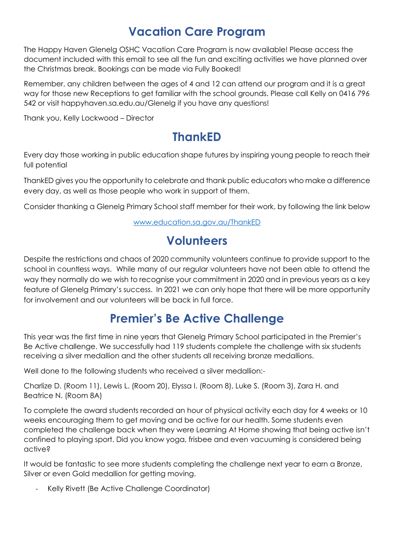# **Vacation Care Program**

The Happy Haven Glenelg OSHC Vacation Care Program is now available! Please access the document included with this email to see all the fun and exciting activities we have planned over the Christmas break. Bookings can be made via Fully Booked!

Remember, any children between the ages of 4 and 12 can attend our program and it is a great way for those new Receptions to get familiar with the school grounds. Please call Kelly on 0416 796 542 or visit happyhaven.sa.edu.au/Glenelg if you have any questions!

Thank you, Kelly Lockwood – Director

# **ThankED**

Every day those working in public education shape futures by inspiring young people to reach their full potential

ThankED gives you the opportunity to celebrate and thank public educators who make a difference every day, as well as those people who work in support of them.

Consider thanking a Glenelg Primary School staff member for their work, by following the link below

[www.education.sa.gov.au/ThankED](http://www.education.sa.gov.au/ThankED)

# **Volunteers**

Despite the restrictions and chaos of 2020 community volunteers continue to provide support to the school in countless ways. While many of our regular volunteers have not been able to attend the way they normally do we wish to recognise your commitment in 2020 and in previous years as a key feature of Glenelg Primary's success. In 2021 we can only hope that there will be more opportunity for involvement and our volunteers will be back in full force.

# **Premier's Be Active Challenge**

This year was the first time in nine years that Glenelg Primary School participated in the Premier's Be Active challenge. We successfully had 119 students complete the challenge with six students receiving a silver medallion and the other students all receiving bronze medallions.

Well done to the following students who received a silver medallion:-

Charlize D. (Room 11), Lewis L. (Room 20), Elyssa I. (Room 8), Luke S. (Room 3), Zara H. and Beatrice N. (Room 8A)

To complete the award students recorded an hour of physical activity each day for 4 weeks or 10 weeks encouraging them to get moving and be active for our health. Some students even completed the challenge back when they were Learning At Home showing that being active isn't confined to playing sport. Did you know yoga, frisbee and even vacuuming is considered being active?

It would be fantastic to see more students completing the challenge next year to earn a Bronze, Silver or even Gold medallion for getting moving.

Kelly Rivett (Be Active Challenge Coordinator)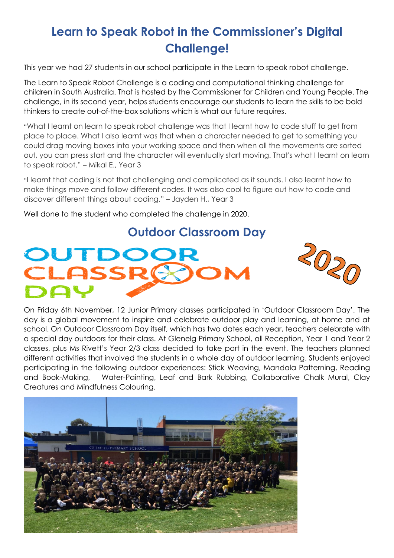# **Learn to Speak Robot in the Commissioner's Digital Challenge!**

This year we had 27 students in our school participate in the Learn to speak robot challenge.

The Learn to Speak Robot Challenge is a coding and computational thinking challenge for children in South Australia. That is hosted by the Commissioner for Children and Young People. The challenge, in its second year, helps students encourage our students to learn the skills to be bold thinkers to create out-of-the-box solutions which is what our future requires.

"What I learnt on learn to speak robot challenge was that I learnt how to code stuff to get from place to place. What I also learnt was that when a character needed to get to something you could drag moving boxes into your working space and then when all the movements are sorted out, you can press start and the character will eventually start moving. That's what I learnt on learn to speak robot." – Mikal E., Year 3

"I learnt that coding is not that challenging and complicated as it sounds. I also learnt how to make things move and follow different codes. It was also cool to figure out how to code and discover different things about coding." – Jayden H., Year 3

Well done to the student who completed the challenge in 2020.

### **Outdoor Classroom Day**





On Friday 6th November, 12 Junior Primary classes participated in 'Outdoor Classroom Day'. The day is a global movement to inspire and celebrate outdoor play and learning, at home and at school. On Outdoor Classroom Day itself, which has two dates each year, teachers celebrate with a special day outdoors for their class. At Glenelg Primary School, all Reception, Year 1 and Year 2 classes, plus Ms Rivett's Year 2/3 class decided to take part in the event. The teachers planned different activities that involved the students in a whole day of outdoor learning. Students enjoyed participating in the following outdoor experiences: Stick Weaving, Mandala Patterning, Reading and Book-Making, Water-Painting, Leaf and Bark Rubbing, Collaborative Chalk Mural, Clay Creatures and Mindfulness Colouring.